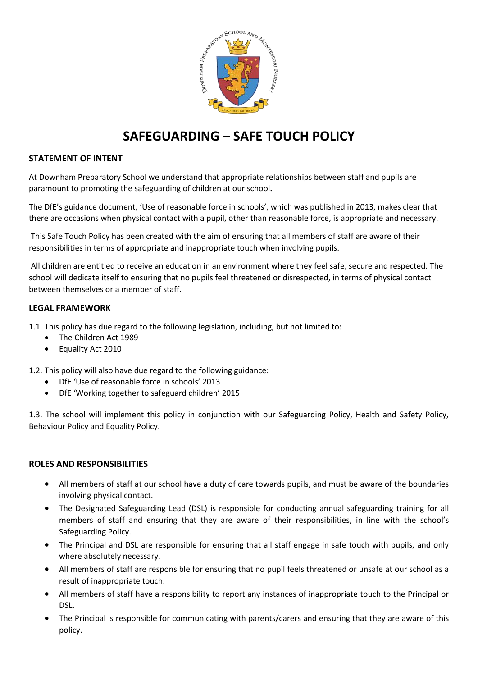

# **SAFEGUARDING – SAFE TOUCH POLICY**

# **STATEMENT OF INTENT**

At Downham Preparatory School we understand that appropriate relationships between staff and pupils are paramount to promoting the safeguarding of children at our school**.** 

The DfE's guidance document, 'Use of reasonable force in schools', which was published in 2013, makes clear that there are occasions when physical contact with a pupil, other than reasonable force, is appropriate and necessary.

This Safe Touch Policy has been created with the aim of ensuring that all members of staff are aware of their responsibilities in terms of appropriate and inappropriate touch when involving pupils.

All children are entitled to receive an education in an environment where they feel safe, secure and respected. The school will dedicate itself to ensuring that no pupils feel threatened or disrespected, in terms of physical contact between themselves or a member of staff.

# **LEGAL FRAMEWORK**

1.1. This policy has due regard to the following legislation, including, but not limited to:

- The Children Act 1989
- Equality Act 2010

1.2. This policy will also have due regard to the following guidance:

- DfE 'Use of reasonable force in schools' 2013
- DfE 'Working together to safeguard children' 2015

1.3. The school will implement this policy in conjunction with our Safeguarding Policy, Health and Safety Policy, Behaviour Policy and Equality Policy.

# **ROLES AND RESPONSIBILITIES**

- All members of staff at our school have a duty of care towards pupils, and must be aware of the boundaries involving physical contact.
- The Designated Safeguarding Lead (DSL) is responsible for conducting annual safeguarding training for all members of staff and ensuring that they are aware of their responsibilities, in line with the school's Safeguarding Policy.
- The Principal and DSL are responsible for ensuring that all staff engage in safe touch with pupils, and only where absolutely necessary.
- All members of staff are responsible for ensuring that no pupil feels threatened or unsafe at our school as a result of inappropriate touch.
- All members of staff have a responsibility to report any instances of inappropriate touch to the Principal or DSL.
- The Principal is responsible for communicating with parents/carers and ensuring that they are aware of this policy.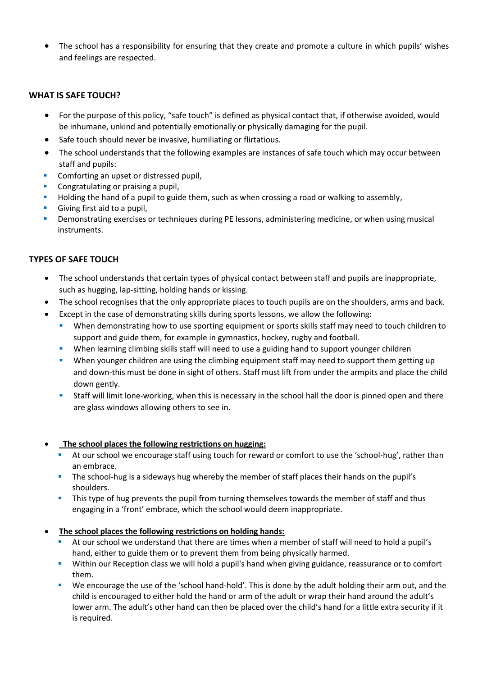• The school has a responsibility for ensuring that they create and promote a culture in which pupils' wishes and feelings are respected.

# **WHAT IS SAFE TOUCH?**

- For the purpose of this policy, "safe touch" is defined as physical contact that, if otherwise avoided, would be inhumane, unkind and potentially emotionally or physically damaging for the pupil.
- Safe touch should never be invasive, humiliating or flirtatious.
- The school understands that the following examples are instances of safe touch which may occur between staff and pupils:
- Comforting an upset or distressed pupil,
- Congratulating or praising a pupil,
- Holding the hand of a pupil to guide them, such as when crossing a road or walking to assembly,
- Giving first aid to a pupil,
- Demonstrating exercises or techniques during PE lessons, administering medicine, or when using musical instruments.

# **TYPES OF SAFE TOUCH**

- The school understands that certain types of physical contact between staff and pupils are inappropriate, such as hugging, lap-sitting, holding hands or kissing.
- The school recognises that the only appropriate places to touch pupils are on the shoulders, arms and back.
- Except in the case of demonstrating skills during sports lessons, we allow the following:
	- **•** When demonstrating how to use sporting equipment or sports skills staff may need to touch children to support and guide them, for example in gymnastics, hockey, rugby and football.
	- **•** When learning climbing skills staff will need to use a guiding hand to support younger children
	- **•** When younger children are using the climbing equipment staff may need to support them getting up and down-this must be done in sight of others. Staff must lift from under the armpits and place the child down gently.
	- Staff will limit lone-working, when this is necessary in the school hall the door is pinned open and there are glass windows allowing others to see in.

# • **The school places the following restrictions on hugging:**

- At our school we encourage staff using touch for reward or comfort to use the 'school-hug', rather than an embrace.
- **·** The school-hug is a sideways hug whereby the member of staff places their hands on the pupil's shoulders.
- **•** This type of hug prevents the pupil from turning themselves towards the member of staff and thus engaging in a 'front' embrace, which the school would deem inappropriate.

# • **The school places the following restrictions on holding hands:**

- At our school we understand that there are times when a member of staff will need to hold a pupil's hand, either to guide them or to prevent them from being physically harmed.
- **E** Within our Reception class we will hold a pupil's hand when giving guidance, reassurance or to comfort them.
- We encourage the use of the 'school hand-hold'. This is done by the adult holding their arm out, and the child is encouraged to either hold the hand or arm of the adult or wrap their hand around the adult's lower arm. The adult's other hand can then be placed over the child's hand for a little extra security if it is required.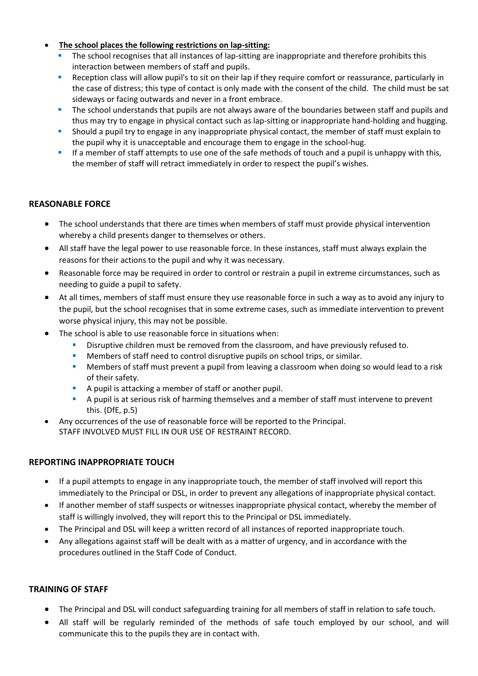# • **The school places the following restrictions on lap-sitting:**

- **•** The school recognises that all instances of lap-sitting are inappropriate and therefore prohibits this interaction between members of staff and pupils.
- **E** Reception class will allow pupil's to sit on their lap if they require comfort or reassurance, particularly in the case of distress; this type of contact is only made with the consent of the child. The child must be sat sideways or facing outwards and never in a front embrace.
- **•** The school understands that pupils are not always aware of the boundaries between staff and pupils and thus may try to engage in physical contact such as lap-sitting or inappropriate hand-holding and hugging.
- **•** Should a pupil try to engage in any inappropriate physical contact, the member of staff must explain to the pupil why it is unacceptable and encourage them to engage in the school-hug.
- **■** If a member of staff attempts to use one of the safe methods of touch and a pupil is unhappy with this, the member of staff will retract immediately in order to respect the pupil's wishes.

# **REASONABLE FORCE**

- The school understands that there are times when members of staff must provide physical intervention whereby a child presents danger to themselves or others.
- All staff have the legal power to use reasonable force. In these instances, staff must always explain the reasons for their actions to the pupil and why it was necessary.
- Reasonable force may be required in order to control or restrain a pupil in extreme circumstances, such as needing to guide a pupil to safety.
- At all times, members of staff must ensure they use reasonable force in such a way as to avoid any injury to the pupil, but the school recognises that in some extreme cases, such as immediate intervention to prevent worse physical injury, this may not be possible.
- The school is able to use reasonable force in situations when:
	- Disruptive children must be removed from the classroom, and have previously refused to.
	- Members of staff need to control disruptive pupils on school trips, or similar.
	- **■** Members of staff must prevent a pupil from leaving a classroom when doing so would lead to a risk of their safety.
	- A pupil is attacking a member of staff or another pupil.
	- A pupil is at serious risk of harming themselves and a member of staff must intervene to prevent this. (DfE, p.5)
- Any occurrences of the use of reasonable force will be reported to the Principal. STAFF INVOLVED MUST FILL IN OUR USE OF RESTRAINT RECORD.

# **REPORTING INAPPROPRIATE TOUCH**

- If a pupil attempts to engage in any inappropriate touch, the member of staff involved will report this immediately to the Principal or DSL, in order to prevent any allegations of inappropriate physical contact.
- If another member of staff suspects or witnesses inappropriate physical contact, whereby the member of staff is willingly involved, they will report this to the Principal or DSL immediately.
- The Principal and DSL will keep a written record of all instances of reported inappropriate touch.
- Any allegations against staff will be dealt with as a matter of urgency, and in accordance with the procedures outlined in the Staff Code of Conduct.

# **TRAINING OF STAFF**

- The Principal and DSL will conduct safeguarding training for all members of staff in relation to safe touch.
- All staff will be regularly reminded of the methods of safe touch employed by our school, and will communicate this to the pupils they are in contact with.